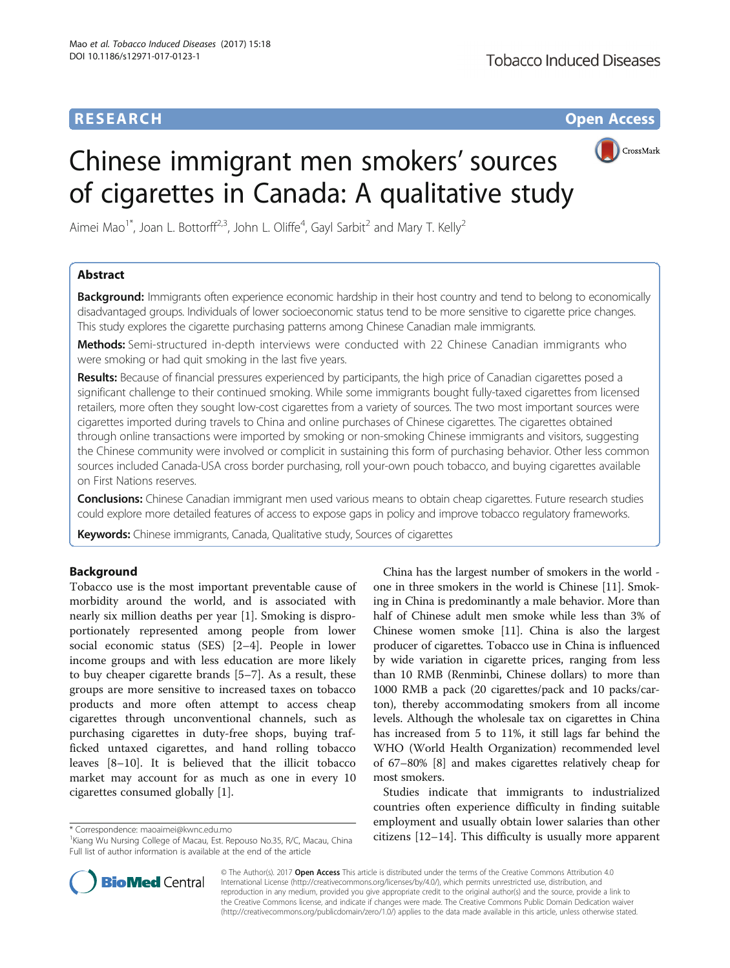# **RESEARCH CHE Open Access**



# Chinese immigrant men smokers' sources of cigarettes in Canada: A qualitative study

Aimei Mao<sup>1\*</sup>, Joan L. Bottorff<sup>2,3</sup>, John L. Oliffe<sup>4</sup>, Gayl Sarbit<sup>2</sup> and Mary T. Kelly<sup>2</sup>

# Abstract

Background: Immigrants often experience economic hardship in their host country and tend to belong to economically disadvantaged groups. Individuals of lower socioeconomic status tend to be more sensitive to cigarette price changes. This study explores the cigarette purchasing patterns among Chinese Canadian male immigrants.

Methods: Semi-structured in-depth interviews were conducted with 22 Chinese Canadian immigrants who were smoking or had quit smoking in the last five years.

Results: Because of financial pressures experienced by participants, the high price of Canadian cigarettes posed a significant challenge to their continued smoking. While some immigrants bought fully-taxed cigarettes from licensed retailers, more often they sought low-cost cigarettes from a variety of sources. The two most important sources were cigarettes imported during travels to China and online purchases of Chinese cigarettes. The cigarettes obtained through online transactions were imported by smoking or non-smoking Chinese immigrants and visitors, suggesting the Chinese community were involved or complicit in sustaining this form of purchasing behavior. Other less common sources included Canada-USA cross border purchasing, roll your-own pouch tobacco, and buying cigarettes available on First Nations reserves.

Conclusions: Chinese Canadian immigrant men used various means to obtain cheap cigarettes. Future research studies could explore more detailed features of access to expose gaps in policy and improve tobacco regulatory frameworks.

Keywords: Chinese immigrants, Canada, Qualitative study, Sources of cigarettes

# Background

Tobacco use is the most important preventable cause of morbidity around the world, and is associated with nearly six million deaths per year [[1\]](#page-7-0). Smoking is disproportionately represented among people from lower social economic status (SES) [[2](#page-7-0)–[4\]](#page-7-0). People in lower income groups and with less education are more likely to buy cheaper cigarette brands [\[5](#page-7-0)–[7](#page-7-0)]. As a result, these groups are more sensitive to increased taxes on tobacco products and more often attempt to access cheap cigarettes through unconventional channels, such as purchasing cigarettes in duty-free shops, buying trafficked untaxed cigarettes, and hand rolling tobacco leaves [[8](#page-7-0)–[10](#page-7-0)]. It is believed that the illicit tobacco market may account for as much as one in every 10 cigarettes consumed globally [[1](#page-7-0)].

China has the largest number of smokers in the world one in three smokers in the world is Chinese [\[11\]](#page-7-0). Smoking in China is predominantly a male behavior. More than half of Chinese adult men smoke while less than 3% of Chinese women smoke [[11](#page-7-0)]. China is also the largest producer of cigarettes. Tobacco use in China is influenced by wide variation in cigarette prices, ranging from less than 10 RMB (Renminbi, Chinese dollars) to more than 1000 RMB a pack (20 cigarettes/pack and 10 packs/carton), thereby accommodating smokers from all income levels. Although the wholesale tax on cigarettes in China has increased from 5 to 11%, it still lags far behind the WHO (World Health Organization) recommended level of 67–80% [\[8](#page-7-0)] and makes cigarettes relatively cheap for most smokers.

Studies indicate that immigrants to industrialized countries often experience difficulty in finding suitable employment and usually obtain lower salaries than other \* Correspondence: [maoaimei@kwnc.edu.mo](mailto:maoaimei@kwnc.edu.mo)<br><sup>1</sup>Kiang Wu Nursing College of Macau, Est. Repouse No.35, R/C. Macau, Chipa **1898** Citizens [[12](#page-7-0)–[14](#page-7-0)]. This difficulty is usually more apparent



© The Author(s). 2017 **Open Access** This article is distributed under the terms of the Creative Commons Attribution 4.0 International License [\(http://creativecommons.org/licenses/by/4.0/](http://creativecommons.org/licenses/by/4.0/)), which permits unrestricted use, distribution, and reproduction in any medium, provided you give appropriate credit to the original author(s) and the source, provide a link to the Creative Commons license, and indicate if changes were made. The Creative Commons Public Domain Dedication waiver [\(http://creativecommons.org/publicdomain/zero/1.0/](http://creativecommons.org/publicdomain/zero/1.0/)) applies to the data made available in this article, unless otherwise stated.

<sup>&</sup>lt;sup>1</sup> Kiang Wu Nursing College of Macau, Est. Repouso No.35, R/C, Macau, China Full list of author information is available at the end of the article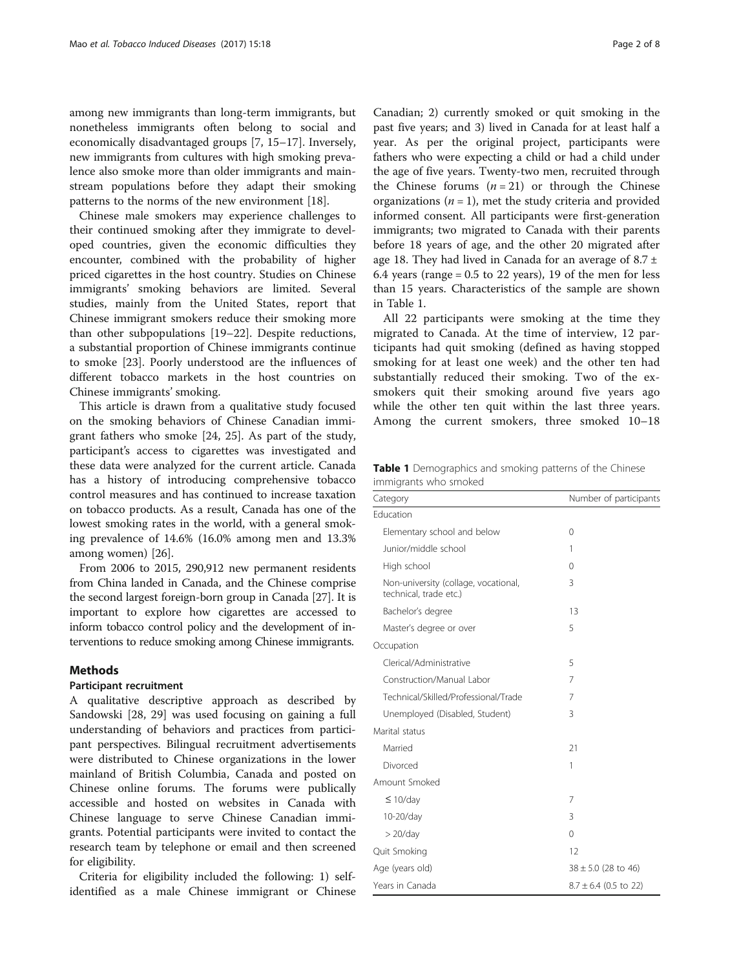among new immigrants than long-term immigrants, but nonetheless immigrants often belong to social and economically disadvantaged groups [[7, 15](#page-7-0)–[17\]](#page-7-0). Inversely, new immigrants from cultures with high smoking prevalence also smoke more than older immigrants and mainstream populations before they adapt their smoking patterns to the norms of the new environment [[18\]](#page-7-0).

Chinese male smokers may experience challenges to their continued smoking after they immigrate to developed countries, given the economic difficulties they encounter, combined with the probability of higher priced cigarettes in the host country. Studies on Chinese immigrants' smoking behaviors are limited. Several studies, mainly from the United States, report that Chinese immigrant smokers reduce their smoking more than other subpopulations [[19](#page-7-0)–[22](#page-7-0)]. Despite reductions, a substantial proportion of Chinese immigrants continue to smoke [[23\]](#page-7-0). Poorly understood are the influences of different tobacco markets in the host countries on Chinese immigrants' smoking.

This article is drawn from a qualitative study focused on the smoking behaviors of Chinese Canadian immigrant fathers who smoke [[24, 25\]](#page-7-0). As part of the study, participant's access to cigarettes was investigated and these data were analyzed for the current article. Canada has a history of introducing comprehensive tobacco control measures and has continued to increase taxation on tobacco products. As a result, Canada has one of the lowest smoking rates in the world, with a general smoking prevalence of 14.6% (16.0% among men and 13.3% among women) [[26\]](#page-7-0).

From 2006 to 2015, 290,912 new permanent residents from China landed in Canada, and the Chinese comprise the second largest foreign-born group in Canada [[27](#page-7-0)]. It is important to explore how cigarettes are accessed to inform tobacco control policy and the development of interventions to reduce smoking among Chinese immigrants.

# Methods

#### Participant recruitment

A qualitative descriptive approach as described by Sandowski [\[28](#page-7-0), [29](#page-7-0)] was used focusing on gaining a full understanding of behaviors and practices from participant perspectives. Bilingual recruitment advertisements were distributed to Chinese organizations in the lower mainland of British Columbia, Canada and posted on Chinese online forums. The forums were publically accessible and hosted on websites in Canada with Chinese language to serve Chinese Canadian immigrants. Potential participants were invited to contact the research team by telephone or email and then screened for eligibility.

Criteria for eligibility included the following: 1) selfidentified as a male Chinese immigrant or Chinese

Canadian; 2) currently smoked or quit smoking in the past five years; and 3) lived in Canada for at least half a year. As per the original project, participants were fathers who were expecting a child or had a child under the age of five years. Twenty-two men, recruited through the Chinese forums  $(n = 21)$  or through the Chinese organizations ( $n = 1$ ), met the study criteria and provided informed consent. All participants were first-generation immigrants; two migrated to Canada with their parents before 18 years of age, and the other 20 migrated after age 18. They had lived in Canada for an average of  $8.7 \pm$ 6.4 years (range  $= 0.5$  to 22 years), 19 of the men for less than 15 years. Characteristics of the sample are shown in Table 1.

All 22 participants were smoking at the time they migrated to Canada. At the time of interview, 12 participants had quit smoking (defined as having stopped smoking for at least one week) and the other ten had substantially reduced their smoking. Two of the exsmokers quit their smoking around five years ago while the other ten quit within the last three years. Among the current smokers, three smoked 10–18

Table 1 Demographics and smoking patterns of the Chinese immigrants who smoked

| Category                                                       | Number of participants    |
|----------------------------------------------------------------|---------------------------|
| Education                                                      |                           |
| Elementary school and below                                    | $\Omega$                  |
| Junior/middle school                                           | 1                         |
| High school                                                    | $\Omega$                  |
| Non-university (collage, vocational,<br>technical, trade etc.) | 3                         |
| Bachelor's degree                                              | 13                        |
| Master's degree or over                                        | 5                         |
| Occupation                                                     |                           |
| Clerical/Administrative                                        | 5                         |
| Construction/Manual Labor                                      | 7                         |
| Technical/Skilled/Professional/Trade                           | 7                         |
| Unemployed (Disabled, Student)                                 | 3                         |
| Marital status                                                 |                           |
| Married                                                        | 21                        |
| Divorced                                                       | 1                         |
| Amount Smoked                                                  |                           |
| $\leq$ 10/day                                                  | 7                         |
| 10-20/day                                                      | 3                         |
| $> 20$ /day                                                    | $\Omega$                  |
| Quit Smoking                                                   | 12                        |
| Age (years old)                                                | $38 \pm 5.0$ (28 to 46)   |
| Years in Canada                                                | $8.7 \pm 6.4$ (0.5 to 22) |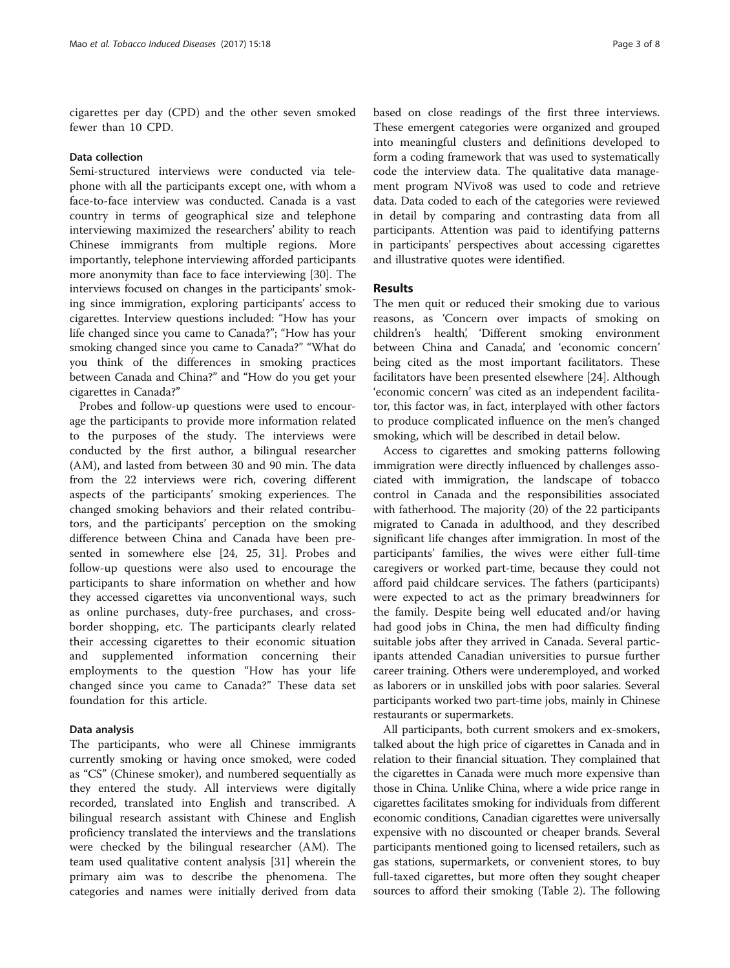cigarettes per day (CPD) and the other seven smoked fewer than 10 CPD.

#### Data collection

Semi-structured interviews were conducted via telephone with all the participants except one, with whom a face-to-face interview was conducted. Canada is a vast country in terms of geographical size and telephone interviewing maximized the researchers' ability to reach Chinese immigrants from multiple regions. More importantly, telephone interviewing afforded participants more anonymity than face to face interviewing [\[30\]](#page-7-0). The interviews focused on changes in the participants' smoking since immigration, exploring participants' access to cigarettes. Interview questions included: "How has your life changed since you came to Canada?"; "How has your smoking changed since you came to Canada?" "What do you think of the differences in smoking practices between Canada and China?" and "How do you get your cigarettes in Canada?"

Probes and follow-up questions were used to encourage the participants to provide more information related to the purposes of the study. The interviews were conducted by the first author, a bilingual researcher (AM), and lasted from between 30 and 90 min. The data from the 22 interviews were rich, covering different aspects of the participants' smoking experiences. The changed smoking behaviors and their related contributors, and the participants' perception on the smoking difference between China and Canada have been presented in somewhere else [\[24, 25, 31](#page-7-0)]. Probes and follow-up questions were also used to encourage the participants to share information on whether and how they accessed cigarettes via unconventional ways, such as online purchases, duty-free purchases, and crossborder shopping, etc. The participants clearly related their accessing cigarettes to their economic situation and supplemented information concerning their employments to the question "How has your life changed since you came to Canada?" These data set foundation for this article.

#### Data analysis

The participants, who were all Chinese immigrants currently smoking or having once smoked, were coded as "CS" (Chinese smoker), and numbered sequentially as they entered the study. All interviews were digitally recorded, translated into English and transcribed. A bilingual research assistant with Chinese and English proficiency translated the interviews and the translations were checked by the bilingual researcher (AM). The team used qualitative content analysis [[31\]](#page-7-0) wherein the primary aim was to describe the phenomena. The categories and names were initially derived from data

based on close readings of the first three interviews. These emergent categories were organized and grouped into meaningful clusters and definitions developed to form a coding framework that was used to systematically code the interview data. The qualitative data management program NVivo8 was used to code and retrieve data. Data coded to each of the categories were reviewed in detail by comparing and contrasting data from all participants. Attention was paid to identifying patterns in participants' perspectives about accessing cigarettes and illustrative quotes were identified.

#### Results

The men quit or reduced their smoking due to various reasons, as 'Concern over impacts of smoking on children's health', 'Different smoking environment between China and Canada', and 'economic concern' being cited as the most important facilitators. These facilitators have been presented elsewhere [\[24\]](#page-7-0). Although 'economic concern' was cited as an independent facilitator, this factor was, in fact, interplayed with other factors to produce complicated influence on the men's changed smoking, which will be described in detail below.

Access to cigarettes and smoking patterns following immigration were directly influenced by challenges associated with immigration, the landscape of tobacco control in Canada and the responsibilities associated with fatherhood. The majority (20) of the 22 participants migrated to Canada in adulthood, and they described significant life changes after immigration. In most of the participants' families, the wives were either full-time caregivers or worked part-time, because they could not afford paid childcare services. The fathers (participants) were expected to act as the primary breadwinners for the family. Despite being well educated and/or having had good jobs in China, the men had difficulty finding suitable jobs after they arrived in Canada. Several participants attended Canadian universities to pursue further career training. Others were underemployed, and worked as laborers or in unskilled jobs with poor salaries. Several participants worked two part-time jobs, mainly in Chinese restaurants or supermarkets.

All participants, both current smokers and ex-smokers, talked about the high price of cigarettes in Canada and in relation to their financial situation. They complained that the cigarettes in Canada were much more expensive than those in China. Unlike China, where a wide price range in cigarettes facilitates smoking for individuals from different economic conditions, Canadian cigarettes were universally expensive with no discounted or cheaper brands. Several participants mentioned going to licensed retailers, such as gas stations, supermarkets, or convenient stores, to buy full-taxed cigarettes, but more often they sought cheaper sources to afford their smoking (Table [2\)](#page-3-0). The following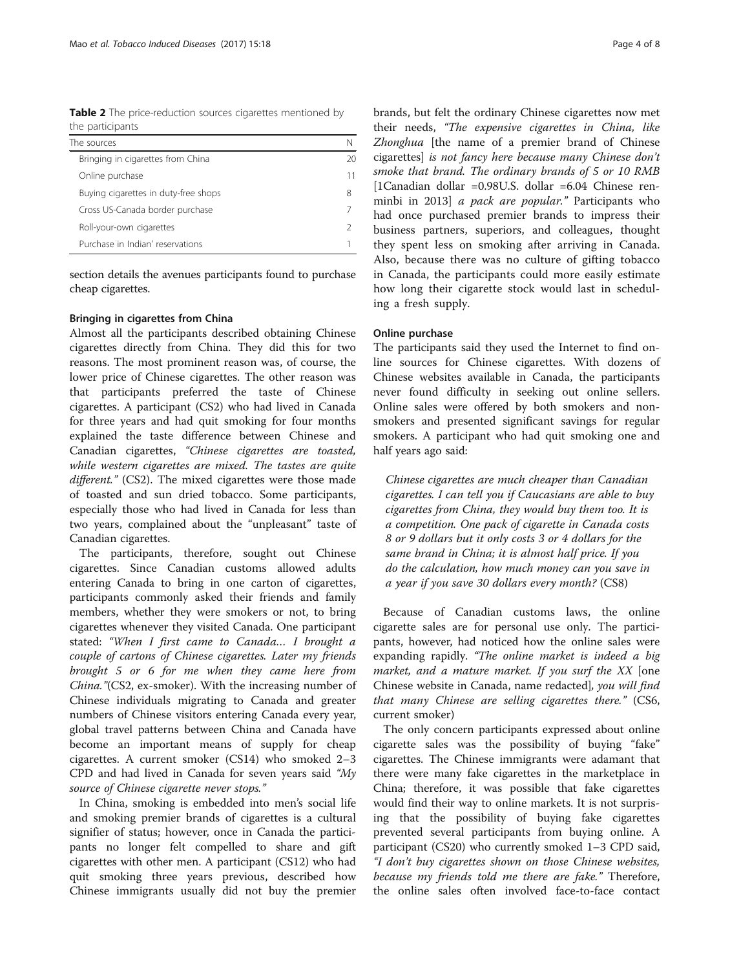<span id="page-3-0"></span>Table 2 The price-reduction sources cigarettes mentioned by the participants

| The sources                          | N  |
|--------------------------------------|----|
| Bringing in cigarettes from China    | 20 |
| Online purchase                      | 11 |
| Buying cigarettes in duty-free shops | 8  |
| Cross US-Canada border purchase      |    |
| Roll-your-own cigarettes             |    |
| Purchase in Indian' reservations     |    |

section details the avenues participants found to purchase cheap cigarettes.

# Bringing in cigarettes from China

Almost all the participants described obtaining Chinese cigarettes directly from China. They did this for two reasons. The most prominent reason was, of course, the lower price of Chinese cigarettes. The other reason was that participants preferred the taste of Chinese cigarettes. A participant (CS2) who had lived in Canada for three years and had quit smoking for four months explained the taste difference between Chinese and Canadian cigarettes, "Chinese cigarettes are toasted, while western cigarettes are mixed. The tastes are quite different." (CS2). The mixed cigarettes were those made of toasted and sun dried tobacco. Some participants, especially those who had lived in Canada for less than two years, complained about the "unpleasant" taste of Canadian cigarettes.

The participants, therefore, sought out Chinese cigarettes. Since Canadian customs allowed adults entering Canada to bring in one carton of cigarettes, participants commonly asked their friends and family members, whether they were smokers or not, to bring cigarettes whenever they visited Canada. One participant stated: "When I first came to Canada… I brought a couple of cartons of Chinese cigarettes. Later my friends brought 5 or 6 for me when they came here from China."(CS2, ex-smoker). With the increasing number of Chinese individuals migrating to Canada and greater numbers of Chinese visitors entering Canada every year, global travel patterns between China and Canada have become an important means of supply for cheap cigarettes. A current smoker (CS14) who smoked 2–3 CPD and had lived in Canada for seven years said "My source of Chinese cigarette never stops."

In China, smoking is embedded into men's social life and smoking premier brands of cigarettes is a cultural signifier of status; however, once in Canada the participants no longer felt compelled to share and gift cigarettes with other men. A participant (CS12) who had quit smoking three years previous, described how Chinese immigrants usually did not buy the premier

brands, but felt the ordinary Chinese cigarettes now met their needs, "The expensive cigarettes in China, like Zhonghua [the name of a premier brand of Chinese cigarettes] is not fancy here because many Chinese don't smoke that brand. The ordinary brands of 5 or 10 RMB [1Canadian dollar =0.98U.S. dollar =6.04 Chinese renminbi in 2013] a pack are popular." Participants who had once purchased premier brands to impress their business partners, superiors, and colleagues, thought they spent less on smoking after arriving in Canada. Also, because there was no culture of gifting tobacco in Canada, the participants could more easily estimate how long their cigarette stock would last in scheduling a fresh supply.

## Online purchase

The participants said they used the Internet to find online sources for Chinese cigarettes. With dozens of Chinese websites available in Canada, the participants never found difficulty in seeking out online sellers. Online sales were offered by both smokers and nonsmokers and presented significant savings for regular smokers. A participant who had quit smoking one and half years ago said:

Chinese cigarettes are much cheaper than Canadian cigarettes. I can tell you if Caucasians are able to buy cigarettes from China, they would buy them too. It is a competition. One pack of cigarette in Canada costs 8 or 9 dollars but it only costs 3 or 4 dollars for the same brand in China; it is almost half price. If you do the calculation, how much money can you save in a year if you save 30 dollars every month? (CS8)

Because of Canadian customs laws, the online cigarette sales are for personal use only. The participants, however, had noticed how the online sales were expanding rapidly. "The online market is indeed a big market, and a mature market. If you surf the XX [one Chinese website in Canada, name redacted], you will find that many Chinese are selling cigarettes there." (CS6, current smoker)

The only concern participants expressed about online cigarette sales was the possibility of buying "fake" cigarettes. The Chinese immigrants were adamant that there were many fake cigarettes in the marketplace in China; therefore, it was possible that fake cigarettes would find their way to online markets. It is not surprising that the possibility of buying fake cigarettes prevented several participants from buying online. A participant (CS20) who currently smoked 1–3 CPD said, "I don't buy cigarettes shown on those Chinese websites, because my friends told me there are fake." Therefore, the online sales often involved face-to-face contact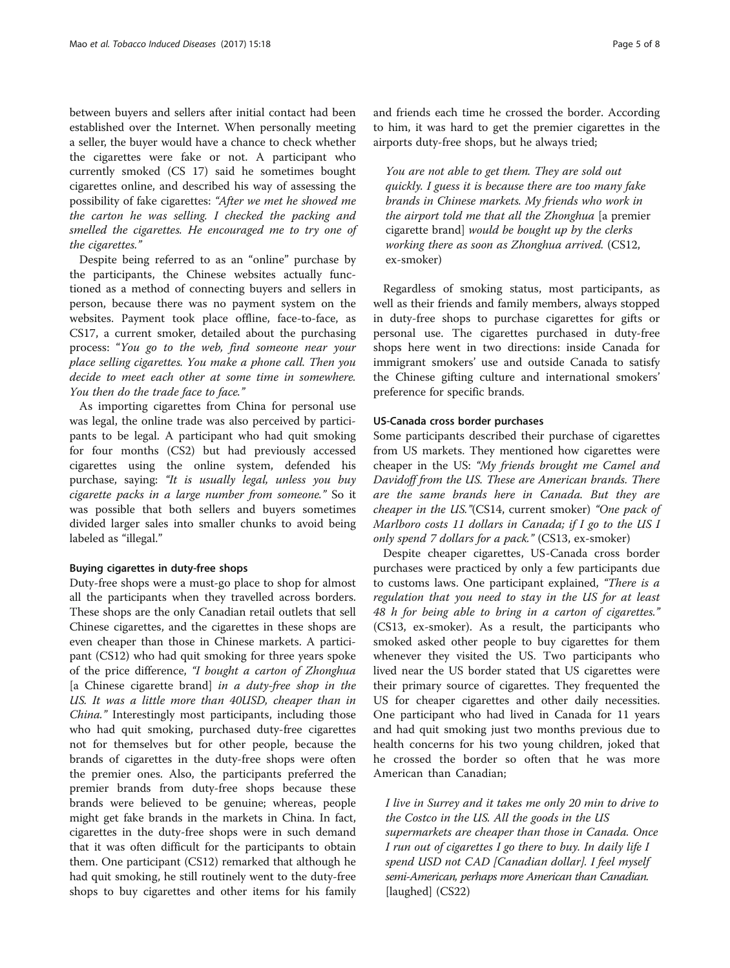between buyers and sellers after initial contact had been established over the Internet. When personally meeting a seller, the buyer would have a chance to check whether the cigarettes were fake or not. A participant who currently smoked (CS 17) said he sometimes bought cigarettes online, and described his way of assessing the possibility of fake cigarettes: "After we met he showed me the carton he was selling. I checked the packing and smelled the cigarettes. He encouraged me to try one of the cigarettes."

Despite being referred to as an "online" purchase by the participants, the Chinese websites actually functioned as a method of connecting buyers and sellers in person, because there was no payment system on the websites. Payment took place offline, face-to-face, as CS17, a current smoker, detailed about the purchasing process: "You go to the web, find someone near your place selling cigarettes. You make a phone call. Then you decide to meet each other at some time in somewhere. You then do the trade face to face."

As importing cigarettes from China for personal use was legal, the online trade was also perceived by participants to be legal. A participant who had quit smoking for four months (CS2) but had previously accessed cigarettes using the online system, defended his purchase, saying: "It is usually legal, unless you buy cigarette packs in a large number from someone." So it was possible that both sellers and buyers sometimes divided larger sales into smaller chunks to avoid being labeled as "illegal."

#### Buying cigarettes in duty-free shops

Duty-free shops were a must-go place to shop for almost all the participants when they travelled across borders. These shops are the only Canadian retail outlets that sell Chinese cigarettes, and the cigarettes in these shops are even cheaper than those in Chinese markets. A participant (CS12) who had quit smoking for three years spoke of the price difference, "I bought a carton of Zhonghua [a Chinese cigarette brand] in a duty-free shop in the US. It was a little more than 40USD, cheaper than in China." Interestingly most participants, including those who had quit smoking, purchased duty-free cigarettes not for themselves but for other people, because the brands of cigarettes in the duty-free shops were often the premier ones. Also, the participants preferred the premier brands from duty-free shops because these brands were believed to be genuine; whereas, people might get fake brands in the markets in China. In fact, cigarettes in the duty-free shops were in such demand that it was often difficult for the participants to obtain them. One participant (CS12) remarked that although he had quit smoking, he still routinely went to the duty-free shops to buy cigarettes and other items for his family

and friends each time he crossed the border. According to him, it was hard to get the premier cigarettes in the airports duty-free shops, but he always tried;

You are not able to get them. They are sold out quickly. I guess it is because there are too many fake brands in Chinese markets. My friends who work in the airport told me that all the Zhonghua [a premier cigarette brand] would be bought up by the clerks working there as soon as Zhonghua arrived. (CS12, ex-smoker)

Regardless of smoking status, most participants, as well as their friends and family members, always stopped in duty-free shops to purchase cigarettes for gifts or personal use. The cigarettes purchased in duty-free shops here went in two directions: inside Canada for immigrant smokers' use and outside Canada to satisfy the Chinese gifting culture and international smokers' preference for specific brands.

#### US-Canada cross border purchases

Some participants described their purchase of cigarettes from US markets. They mentioned how cigarettes were cheaper in the US: "My friends brought me Camel and Davidoff from the US. These are American brands. There are the same brands here in Canada. But they are cheaper in the US."(CS14, current smoker) "One pack of Marlboro costs 11 dollars in Canada; if I go to the US I only spend 7 dollars for a pack." (CS13, ex-smoker)

Despite cheaper cigarettes, US-Canada cross border purchases were practiced by only a few participants due to customs laws. One participant explained, "There is a regulation that you need to stay in the US for at least 48 h for being able to bring in a carton of cigarettes." (CS13, ex-smoker). As a result, the participants who smoked asked other people to buy cigarettes for them whenever they visited the US. Two participants who lived near the US border stated that US cigarettes were their primary source of cigarettes. They frequented the US for cheaper cigarettes and other daily necessities. One participant who had lived in Canada for 11 years and had quit smoking just two months previous due to health concerns for his two young children, joked that he crossed the border so often that he was more American than Canadian;

I live in Surrey and it takes me only 20 min to drive to the Costco in the US. All the goods in the US supermarkets are cheaper than those in Canada. Once I run out of cigarettes I go there to buy. In daily life I spend USD not CAD [Canadian dollar]. I feel myself semi-American, perhaps more American than Canadian. [laughed] (CS22)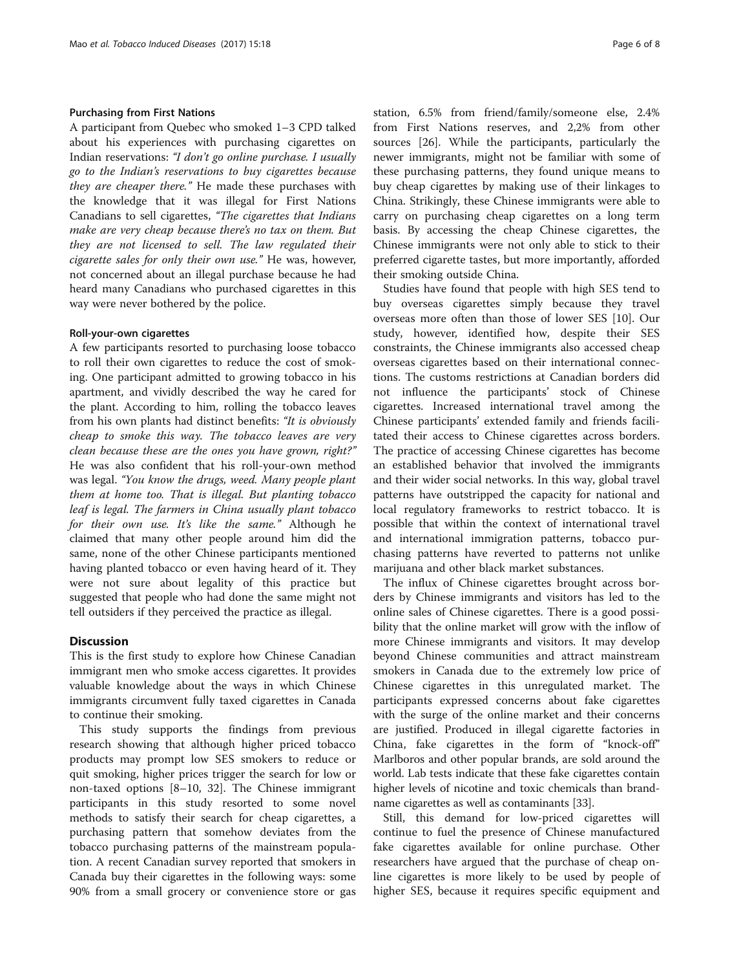# Purchasing from First Nations

A participant from Quebec who smoked 1–3 CPD talked about his experiences with purchasing cigarettes on Indian reservations: "I don't go online purchase. I usually go to the Indian's reservations to buy cigarettes because they are cheaper there." He made these purchases with the knowledge that it was illegal for First Nations Canadians to sell cigarettes, "The cigarettes that Indians make are very cheap because there's no tax on them. But they are not licensed to sell. The law regulated their cigarette sales for only their own use." He was, however, not concerned about an illegal purchase because he had heard many Canadians who purchased cigarettes in this way were never bothered by the police.

# Roll-your-own cigarettes

A few participants resorted to purchasing loose tobacco to roll their own cigarettes to reduce the cost of smoking. One participant admitted to growing tobacco in his apartment, and vividly described the way he cared for the plant. According to him, rolling the tobacco leaves from his own plants had distinct benefits: "It is obviously cheap to smoke this way. The tobacco leaves are very clean because these are the ones you have grown, right?" He was also confident that his roll-your-own method was legal. "You know the drugs, weed. Many people plant them at home too. That is illegal. But planting tobacco leaf is legal. The farmers in China usually plant tobacco for their own use. It's like the same." Although he claimed that many other people around him did the same, none of the other Chinese participants mentioned having planted tobacco or even having heard of it. They were not sure about legality of this practice but suggested that people who had done the same might not tell outsiders if they perceived the practice as illegal.

#### **Discussion**

This is the first study to explore how Chinese Canadian immigrant men who smoke access cigarettes. It provides valuable knowledge about the ways in which Chinese immigrants circumvent fully taxed cigarettes in Canada to continue their smoking.

This study supports the findings from previous research showing that although higher priced tobacco products may prompt low SES smokers to reduce or quit smoking, higher prices trigger the search for low or non-taxed options [[8](#page-7-0)–[10](#page-7-0), [32](#page-7-0)]. The Chinese immigrant participants in this study resorted to some novel methods to satisfy their search for cheap cigarettes, a purchasing pattern that somehow deviates from the tobacco purchasing patterns of the mainstream population. A recent Canadian survey reported that smokers in Canada buy their cigarettes in the following ways: some 90% from a small grocery or convenience store or gas station, 6.5% from friend/family/someone else, 2.4% from First Nations reserves, and 2,2% from other sources [[26\]](#page-7-0). While the participants, particularly the newer immigrants, might not be familiar with some of these purchasing patterns, they found unique means to buy cheap cigarettes by making use of their linkages to China. Strikingly, these Chinese immigrants were able to carry on purchasing cheap cigarettes on a long term basis. By accessing the cheap Chinese cigarettes, the Chinese immigrants were not only able to stick to their preferred cigarette tastes, but more importantly, afforded their smoking outside China.

Studies have found that people with high SES tend to buy overseas cigarettes simply because they travel overseas more often than those of lower SES [[10\]](#page-7-0). Our study, however, identified how, despite their SES constraints, the Chinese immigrants also accessed cheap overseas cigarettes based on their international connections. The customs restrictions at Canadian borders did not influence the participants' stock of Chinese cigarettes. Increased international travel among the Chinese participants' extended family and friends facilitated their access to Chinese cigarettes across borders. The practice of accessing Chinese cigarettes has become an established behavior that involved the immigrants and their wider social networks. In this way, global travel patterns have outstripped the capacity for national and local regulatory frameworks to restrict tobacco. It is possible that within the context of international travel and international immigration patterns, tobacco purchasing patterns have reverted to patterns not unlike marijuana and other black market substances.

The influx of Chinese cigarettes brought across borders by Chinese immigrants and visitors has led to the online sales of Chinese cigarettes. There is a good possibility that the online market will grow with the inflow of more Chinese immigrants and visitors. It may develop beyond Chinese communities and attract mainstream smokers in Canada due to the extremely low price of Chinese cigarettes in this unregulated market. The participants expressed concerns about fake cigarettes with the surge of the online market and their concerns are justified. Produced in illegal cigarette factories in China, fake cigarettes in the form of "knock-off" Marlboros and other popular brands, are sold around the world. Lab tests indicate that these fake cigarettes contain higher levels of nicotine and toxic chemicals than brandname cigarettes as well as contaminants [\[33\]](#page-7-0).

Still, this demand for low-priced cigarettes will continue to fuel the presence of Chinese manufactured fake cigarettes available for online purchase. Other researchers have argued that the purchase of cheap online cigarettes is more likely to be used by people of higher SES, because it requires specific equipment and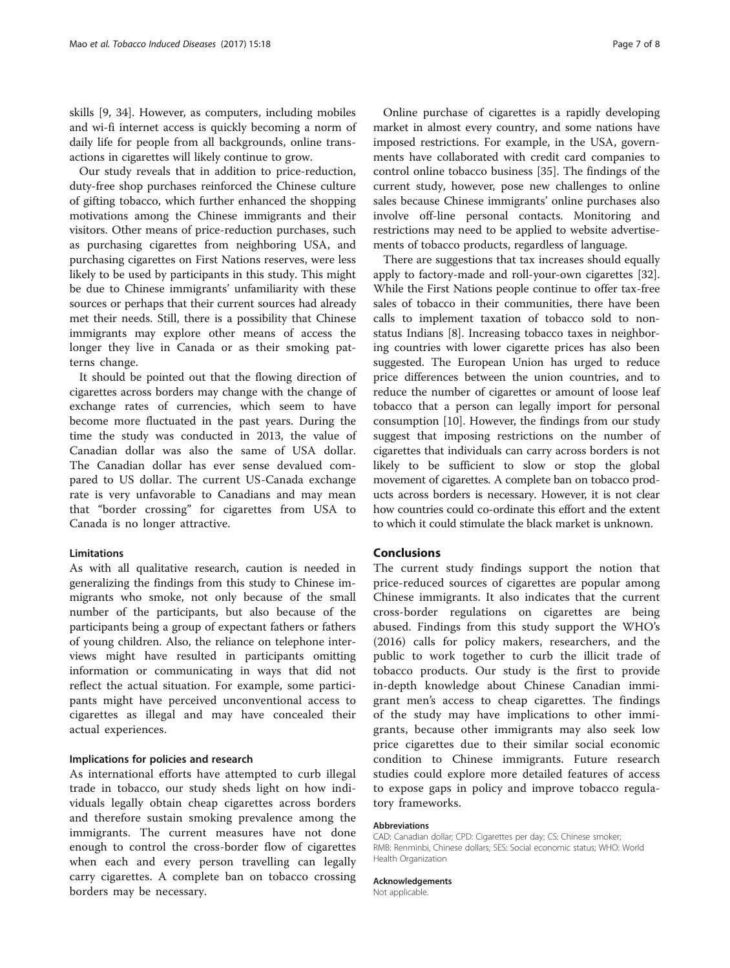skills [[9, 34](#page-7-0)]. However, as computers, including mobiles and wi-fi internet access is quickly becoming a norm of daily life for people from all backgrounds, online transactions in cigarettes will likely continue to grow.

Our study reveals that in addition to price-reduction, duty-free shop purchases reinforced the Chinese culture of gifting tobacco, which further enhanced the shopping motivations among the Chinese immigrants and their visitors. Other means of price-reduction purchases, such as purchasing cigarettes from neighboring USA, and purchasing cigarettes on First Nations reserves, were less likely to be used by participants in this study. This might be due to Chinese immigrants' unfamiliarity with these sources or perhaps that their current sources had already met their needs. Still, there is a possibility that Chinese immigrants may explore other means of access the longer they live in Canada or as their smoking patterns change.

It should be pointed out that the flowing direction of cigarettes across borders may change with the change of exchange rates of currencies, which seem to have become more fluctuated in the past years. During the time the study was conducted in 2013, the value of Canadian dollar was also the same of USA dollar. The Canadian dollar has ever sense devalued compared to US dollar. The current US-Canada exchange rate is very unfavorable to Canadians and may mean that "border crossing" for cigarettes from USA to Canada is no longer attractive.

# Limitations

As with all qualitative research, caution is needed in generalizing the findings from this study to Chinese immigrants who smoke, not only because of the small number of the participants, but also because of the participants being a group of expectant fathers or fathers of young children. Also, the reliance on telephone interviews might have resulted in participants omitting information or communicating in ways that did not reflect the actual situation. For example, some participants might have perceived unconventional access to cigarettes as illegal and may have concealed their actual experiences.

# Implications for policies and research

As international efforts have attempted to curb illegal trade in tobacco, our study sheds light on how individuals legally obtain cheap cigarettes across borders and therefore sustain smoking prevalence among the immigrants. The current measures have not done enough to control the cross-border flow of cigarettes when each and every person travelling can legally carry cigarettes. A complete ban on tobacco crossing borders may be necessary.

Online purchase of cigarettes is a rapidly developing market in almost every country, and some nations have imposed restrictions. For example, in the USA, governments have collaborated with credit card companies to control online tobacco business [\[35](#page-7-0)]. The findings of the current study, however, pose new challenges to online sales because Chinese immigrants' online purchases also involve off-line personal contacts. Monitoring and restrictions may need to be applied to website advertisements of tobacco products, regardless of language.

There are suggestions that tax increases should equally apply to factory-made and roll-your-own cigarettes [\[32](#page-7-0)]. While the First Nations people continue to offer tax-free sales of tobacco in their communities, there have been calls to implement taxation of tobacco sold to nonstatus Indians [[8\]](#page-7-0). Increasing tobacco taxes in neighboring countries with lower cigarette prices has also been suggested. The European Union has urged to reduce price differences between the union countries, and to reduce the number of cigarettes or amount of loose leaf tobacco that a person can legally import for personal consumption [[10\]](#page-7-0). However, the findings from our study suggest that imposing restrictions on the number of cigarettes that individuals can carry across borders is not likely to be sufficient to slow or stop the global movement of cigarettes. A complete ban on tobacco products across borders is necessary. However, it is not clear how countries could co-ordinate this effort and the extent to which it could stimulate the black market is unknown.

# Conclusions

The current study findings support the notion that price-reduced sources of cigarettes are popular among Chinese immigrants. It also indicates that the current cross-border regulations on cigarettes are being abused. Findings from this study support the WHO's (2016) calls for policy makers, researchers, and the public to work together to curb the illicit trade of tobacco products. Our study is the first to provide in-depth knowledge about Chinese Canadian immigrant men's access to cheap cigarettes. The findings of the study may have implications to other immigrants, because other immigrants may also seek low price cigarettes due to their similar social economic condition to Chinese immigrants. Future research studies could explore more detailed features of access to expose gaps in policy and improve tobacco regulatory frameworks.

#### Abbreviations

CAD: Canadian dollar; CPD: Cigarettes per day; CS: Chinese smoker; RMB: Renminbi, Chinese dollars; SES: Social economic status; WHO: World Health Organization

# Acknowledgements

Not applicable.